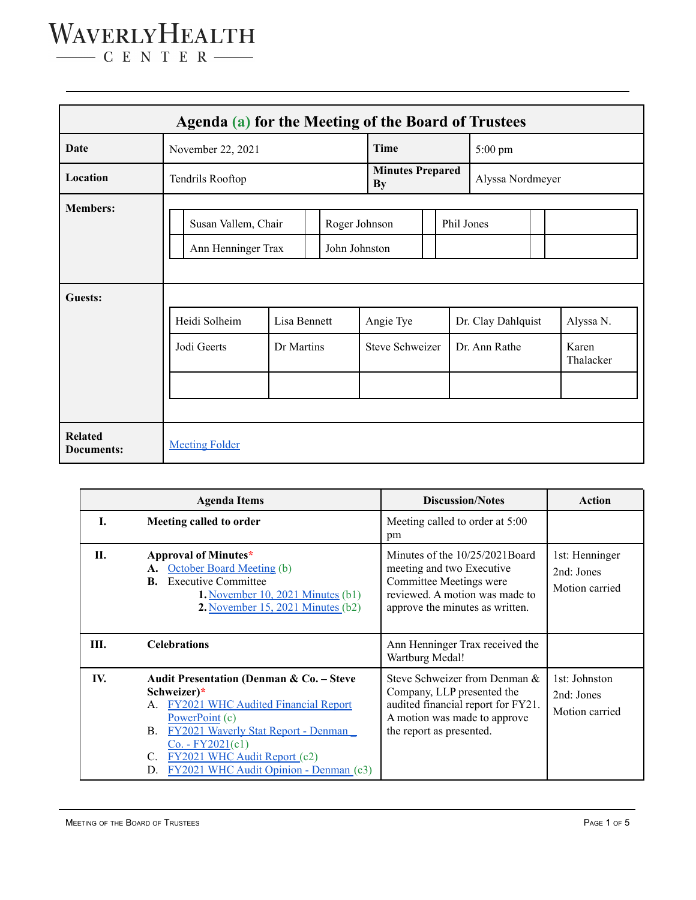### WAVERLYHEALTH  $-$  C E N T E R  $-$

**Agenda (a) for the Meeting of the Board of Trustees Date** November 22, 2021 **Time** 5:00 pm Location **Tendrils Rooftop Minutes Prepared By** Alyssa Nordmeyer **Members:** Susan Vallem, Chair | Roger Johnson | Phil Jones Ann Henninger Trax John Johnston **Guests:** Heidi Solheim | Lisa Bennett | Angie Tye | Dr. Clay Dahlquist | Alyssa N. Jodi Geerts | Dr Martins | Steve Schweizer | Dr. Ann Rathe | Karen Thalacker **Related Documents:** [Meeting](https://drive.google.com/drive/folders/1zQWBQfmOn5VLFNL7V7H6lviBKuOWiINV?usp=sharing) Folder

|     | <b>Agenda Items</b>                                                                                                                                                                                                                                                                        | <b>Discussion/Notes</b>                                                                                                                                       | Action                                         |
|-----|--------------------------------------------------------------------------------------------------------------------------------------------------------------------------------------------------------------------------------------------------------------------------------------------|---------------------------------------------------------------------------------------------------------------------------------------------------------------|------------------------------------------------|
| L.  | Meeting called to order                                                                                                                                                                                                                                                                    | Meeting called to order at 5:00<br>pm                                                                                                                         |                                                |
| П.  | Approval of Minutes*<br>A. October Board Meeting (b)<br><b>Executive Committee</b><br>В.<br>1. November 10, 2021 Minutes $(b1)$<br>2. November 15, 2021 Minutes $(b2)$                                                                                                                     | Minutes of the 10/25/2021Board<br>meeting and two Executive<br>Committee Meetings were<br>reviewed. A motion was made to<br>approve the minutes as written.   | 1st: Henninger<br>2nd: Jones<br>Motion carried |
| Ш.  | <b>Celebrations</b>                                                                                                                                                                                                                                                                        | Ann Henninger Trax received the<br>Wartburg Medal!                                                                                                            |                                                |
| IV. | Audit Presentation (Denman & Co. - Steve<br>Schweizer)*<br>A. FY2021 WHC Audited Financial Report<br>PowerPoint (c)<br><b>FY2021 Waverly Stat Report - Denman</b><br>В.<br>$Co. - FY2021(c1)$<br><b>FY2021 WHC Audit Report (c2)</b><br>C.<br>FY2021 WHC Audit Opinion - Denman (c3)<br>D. | Steve Schweizer from Denman &<br>Company, LLP presented the<br>audited financial report for FY21.<br>A motion was made to approve<br>the report as presented. | 1st: Johnston<br>2nd: Jones<br>Motion carried  |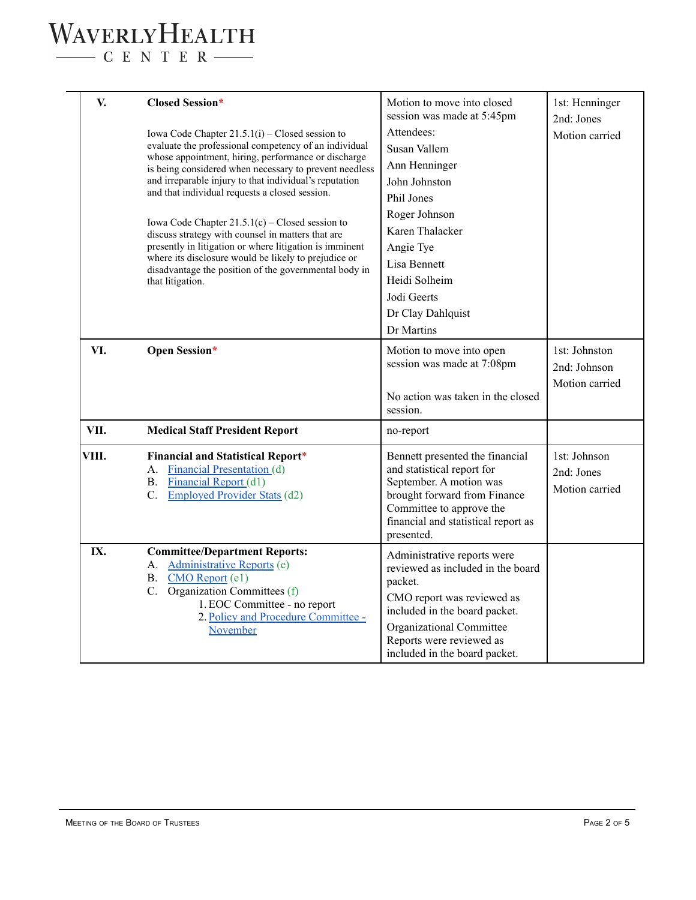# WAVERLYHEALTH

 $\begin{tabular}{c} \quad \quad \textbf{C} \textbf{E} \textbf{N} \textbf{T} \textbf{E} \textbf{R} \end{tabular}$ 

| V.    | <b>Closed Session*</b>                                                                                                                                                                                                                                                                                                                                                                                                                                                                                                                                                                       | Motion to move into closed<br>session was made at 5:45pm    | 1st: Henninger<br>2nd: Jones  |
|-------|----------------------------------------------------------------------------------------------------------------------------------------------------------------------------------------------------------------------------------------------------------------------------------------------------------------------------------------------------------------------------------------------------------------------------------------------------------------------------------------------------------------------------------------------------------------------------------------------|-------------------------------------------------------------|-------------------------------|
|       | Iowa Code Chapter $21.5.1(i)$ – Closed session to                                                                                                                                                                                                                                                                                                                                                                                                                                                                                                                                            | Attendees:                                                  | Motion carried                |
|       | evaluate the professional competency of an individual<br>whose appointment, hiring, performance or discharge<br>is being considered when necessary to prevent needless<br>and irreparable injury to that individual's reputation<br>and that individual requests a closed session.<br>Iowa Code Chapter $21.5.1(c)$ – Closed session to<br>discuss strategy with counsel in matters that are<br>presently in litigation or where litigation is imminent<br>where its disclosure would be likely to prejudice or<br>disadvantage the position of the governmental body in<br>that litigation. | Susan Vallem                                                |                               |
|       |                                                                                                                                                                                                                                                                                                                                                                                                                                                                                                                                                                                              | Ann Henninger                                               |                               |
|       |                                                                                                                                                                                                                                                                                                                                                                                                                                                                                                                                                                                              | John Johnston                                               |                               |
|       |                                                                                                                                                                                                                                                                                                                                                                                                                                                                                                                                                                                              | Phil Jones                                                  |                               |
|       |                                                                                                                                                                                                                                                                                                                                                                                                                                                                                                                                                                                              | Roger Johnson                                               |                               |
|       |                                                                                                                                                                                                                                                                                                                                                                                                                                                                                                                                                                                              | Karen Thalacker                                             |                               |
|       |                                                                                                                                                                                                                                                                                                                                                                                                                                                                                                                                                                                              | Angie Tye                                                   |                               |
|       |                                                                                                                                                                                                                                                                                                                                                                                                                                                                                                                                                                                              | Lisa Bennett                                                |                               |
|       |                                                                                                                                                                                                                                                                                                                                                                                                                                                                                                                                                                                              | Heidi Solheim                                               |                               |
|       |                                                                                                                                                                                                                                                                                                                                                                                                                                                                                                                                                                                              | Jodi Geerts                                                 |                               |
|       |                                                                                                                                                                                                                                                                                                                                                                                                                                                                                                                                                                                              | Dr Clay Dahlquist                                           |                               |
|       |                                                                                                                                                                                                                                                                                                                                                                                                                                                                                                                                                                                              | Dr Martins                                                  |                               |
|       | Open Session*                                                                                                                                                                                                                                                                                                                                                                                                                                                                                                                                                                                |                                                             |                               |
| VI.   |                                                                                                                                                                                                                                                                                                                                                                                                                                                                                                                                                                                              | Motion to move into open<br>session was made at 7:08pm      | 1st: Johnston<br>2nd: Johnson |
|       |                                                                                                                                                                                                                                                                                                                                                                                                                                                                                                                                                                                              |                                                             | Motion carried                |
|       |                                                                                                                                                                                                                                                                                                                                                                                                                                                                                                                                                                                              | No action was taken in the closed                           |                               |
|       |                                                                                                                                                                                                                                                                                                                                                                                                                                                                                                                                                                                              | session.                                                    |                               |
| VII.  | <b>Medical Staff President Report</b>                                                                                                                                                                                                                                                                                                                                                                                                                                                                                                                                                        | no-report                                                   |                               |
| VIII. | <b>Financial and Statistical Report*</b>                                                                                                                                                                                                                                                                                                                                                                                                                                                                                                                                                     | Bennett presented the financial                             | 1st: Johnson                  |
|       | <b>Financial Presentation (d)</b><br>А.                                                                                                                                                                                                                                                                                                                                                                                                                                                                                                                                                      | and statistical report for                                  | 2nd: Jones                    |
|       | <b>Financial Report</b> (d1)<br><b>B.</b>                                                                                                                                                                                                                                                                                                                                                                                                                                                                                                                                                    | September. A motion was<br>brought forward from Finance     | Motion carried                |
|       | <b>Employed Provider Stats (d2)</b><br>$C_{\cdot}$                                                                                                                                                                                                                                                                                                                                                                                                                                                                                                                                           | Committee to approve the                                    |                               |
|       |                                                                                                                                                                                                                                                                                                                                                                                                                                                                                                                                                                                              | financial and statistical report as                         |                               |
|       |                                                                                                                                                                                                                                                                                                                                                                                                                                                                                                                                                                                              | presented.                                                  |                               |
| IX.   | <b>Committee/Department Reports:</b>                                                                                                                                                                                                                                                                                                                                                                                                                                                                                                                                                         | Administrative reports were                                 |                               |
|       | Administrative Reports (e)<br>A.<br>CMO Report (e1)<br><b>B.</b>                                                                                                                                                                                                                                                                                                                                                                                                                                                                                                                             | reviewed as included in the board                           |                               |
|       | C. Organization Committees (f)<br>1. EOC Committee - no report<br>2. Policy and Procedure Committee -<br>November                                                                                                                                                                                                                                                                                                                                                                                                                                                                            | packet.                                                     |                               |
|       |                                                                                                                                                                                                                                                                                                                                                                                                                                                                                                                                                                                              | CMO report was reviewed as<br>included in the board packet. |                               |
|       |                                                                                                                                                                                                                                                                                                                                                                                                                                                                                                                                                                                              | Organizational Committee                                    |                               |
|       |                                                                                                                                                                                                                                                                                                                                                                                                                                                                                                                                                                                              | Reports were reviewed as                                    |                               |
|       |                                                                                                                                                                                                                                                                                                                                                                                                                                                                                                                                                                                              | included in the board packet.                               |                               |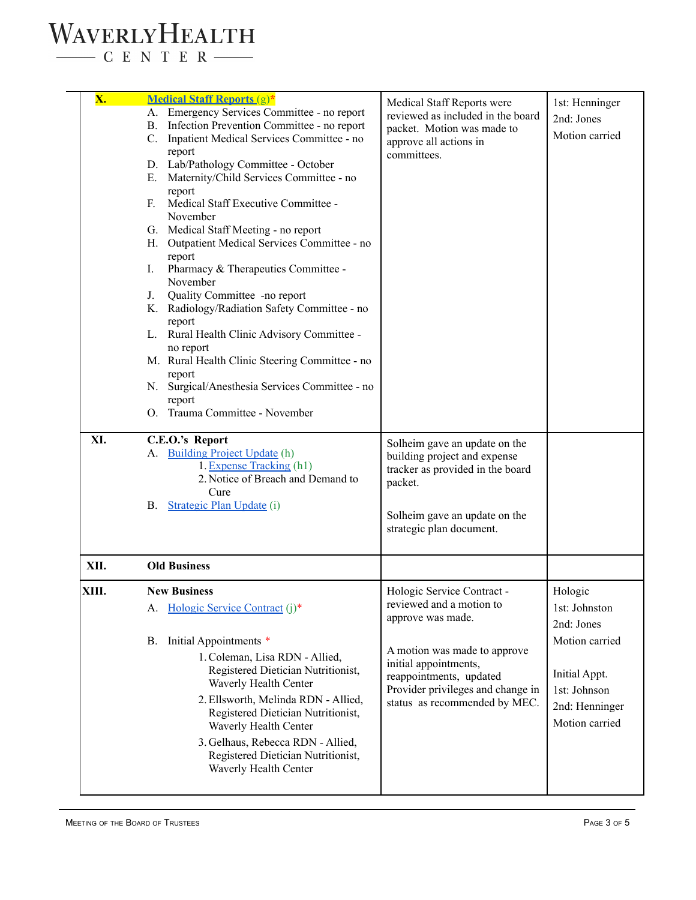#### WAVERLYHEALTH  $-$  C E N T E R  $-$

**X. [Medical](https://drive.google.com/file/d/1fRvUVLxy8jZODtvqOB2bZC8YbR4EI7ed/view?usp=sharing) Staff Reports** (g)**\*** A. Emergency Services Committee - no report B. Infection Prevention Committee - no report C. Inpatient Medical Services Committee - no report D. Lab/Pathology Committee - October E. Maternity/Child Services Committee - no report F. Medical Staff Executive Committee - November G. Medical Staff Meeting - no report H. Outpatient Medical Services Committee - no report I. Pharmacy & Therapeutics Committee - November J. Quality Committee -no report K. Radiology/Radiation Safety Committee - no report L. Rural Health Clinic Advisory Committee no report M. Rural Health Clinic Steering Committee - no report N. Surgical/Anesthesia Services Committee - no report O. Trauma Committee - November Medical Staff Reports were reviewed as included in the board packet. Motion was made to approve all actions in committees. 1st: Henninger 2nd: Jones Motion carried **XI. C.E.O.'s Report** A. [Building](https://drive.google.com/file/d/1vooV9CoGjxCqgQZWWYxLoFqJBnRzKwQx/view?usp=sharing) Project Update (h) 1.Expense [Tracking](https://drive.google.com/file/d/1F9M4n5tTXWjawDd1KItKdu486oSouWTR/view?usp=sharing) (h1) 2. Notice of Breach and Demand to Cure B. [Strategic](https://docs.google.com/spreadsheets/d/1F2COBndPt25dKrKzTzoRP2Z8IeZBgr0u/edit?usp=sharing&ouid=100501573216754586225&rtpof=true&sd=true) Plan Update (i) Solheim gave an update on the building project and expense tracker as provided in the board packet. Solheim gave an update on the strategic plan document. **XII. Old Business XIII. New Business** A. Hologic Service [Contract](https://drive.google.com/file/d/1tc6xPu6cTzoUP6hwFvPftxnVjzrkJKc9/view?usp=sharing) (j)\* B. Initial Appointments \* 1.Coleman, Lisa RDN - Allied, Registered Dietician Nutritionist, Waverly Health Center 2.Ellsworth, Melinda RDN - Allied, Registered Dietician Nutritionist, Waverly Health Center 3. Gelhaus, Rebecca RDN - Allied, Registered Dietician Nutritionist, Waverly Health Center Hologic Service Contract reviewed and a motion to approve was made. A motion was made to approve initial appointments, reappointments, updated Provider privileges and change in status as recommended by MEC. Hologic 1st: Johnston 2nd: Jones Motion carried Initial Appt. 1st: Johnson 2nd: Henninger Motion carried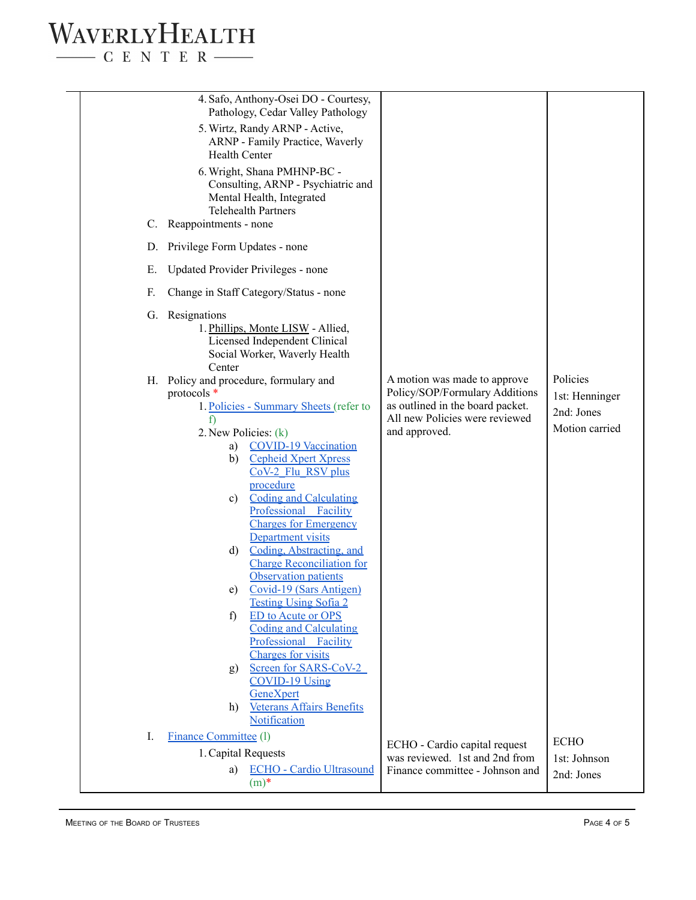# WAVERLYHEALTH  $\begin{tabular}{c} \quad \quad \textbf{C} \textbf{E} \textbf{N} \textbf{T} \textbf{E} \textbf{R} \end{tabular}$

|    | 4. Safo, Anthony-Osei DO - Courtesy,<br>Pathology, Cedar Valley Pathology                                                                                                                                                                                                                                                                                                                                                                                                                                                                                                                                                                                                                                                                                                            |                                                                                                                                                       |                                                            |
|----|--------------------------------------------------------------------------------------------------------------------------------------------------------------------------------------------------------------------------------------------------------------------------------------------------------------------------------------------------------------------------------------------------------------------------------------------------------------------------------------------------------------------------------------------------------------------------------------------------------------------------------------------------------------------------------------------------------------------------------------------------------------------------------------|-------------------------------------------------------------------------------------------------------------------------------------------------------|------------------------------------------------------------|
|    | 5. Wirtz, Randy ARNP - Active,<br>ARNP - Family Practice, Waverly<br><b>Health Center</b>                                                                                                                                                                                                                                                                                                                                                                                                                                                                                                                                                                                                                                                                                            |                                                                                                                                                       |                                                            |
| C. | 6. Wright, Shana PMHNP-BC -<br>Consulting, ARNP - Psychiatric and<br>Mental Health, Integrated<br>Telehealth Partners<br>Reappointments - none                                                                                                                                                                                                                                                                                                                                                                                                                                                                                                                                                                                                                                       |                                                                                                                                                       |                                                            |
|    | D. Privilege Form Updates - none                                                                                                                                                                                                                                                                                                                                                                                                                                                                                                                                                                                                                                                                                                                                                     |                                                                                                                                                       |                                                            |
| Е. | Updated Provider Privileges - none                                                                                                                                                                                                                                                                                                                                                                                                                                                                                                                                                                                                                                                                                                                                                   |                                                                                                                                                       |                                                            |
| F. | Change in Staff Category/Status - none                                                                                                                                                                                                                                                                                                                                                                                                                                                                                                                                                                                                                                                                                                                                               |                                                                                                                                                       |                                                            |
|    | G. Resignations<br>1. Phillips, Monte LISW - Allied,<br>Licensed Independent Clinical<br>Social Worker, Waverly Health                                                                                                                                                                                                                                                                                                                                                                                                                                                                                                                                                                                                                                                               |                                                                                                                                                       |                                                            |
|    | Center<br>H. Policy and procedure, formulary and<br>protocols *<br>1. Policies - Summary Sheets (refer to<br>2. New Policies: (k)<br><b>COVID-19 Vaccination</b><br>a)<br><b>Cepheid Xpert Xpress</b><br>b)<br>CoV-2 Flu RSV plus<br>procedure<br><b>Coding and Calculating</b><br>c)<br>Professional Facility<br><b>Charges for Emergency</b><br>Department visits<br>Coding, Abstracting, and<br>d)<br><b>Charge Reconciliation for</b><br>Observation patients<br>Covid-19 (Sars Antigen)<br>e)<br><b>Testing Using Sofia 2</b><br><b>ED</b> to Acute or OPS<br>f)<br><b>Coding and Calculating</b><br>Professional Facility<br>Charges for visits<br>Screen for SARS-CoV-2<br>g)<br><b>COVID-19 Using</b><br>GeneXpert<br><b>Veterans Affairs Benefits</b><br>h)<br>Notification | A motion was made to approve<br>Policy/SOP/Formulary Additions<br>as outlined in the board packet.<br>All new Policies were reviewed<br>and approved. | Policies<br>1st: Henninger<br>2nd: Jones<br>Motion carried |
| I. | <b>Finance Committee (1)</b><br>1. Capital Requests<br>a) ECHO - Cardio Ultrasound                                                                                                                                                                                                                                                                                                                                                                                                                                                                                                                                                                                                                                                                                                   | ECHO - Cardio capital request<br>was reviewed. 1st and 2nd from<br>Finance committee - Johnson and                                                    | <b>ECHO</b><br>1st: Johnson<br>2nd: Jones                  |
|    | $(m)^*$                                                                                                                                                                                                                                                                                                                                                                                                                                                                                                                                                                                                                                                                                                                                                                              |                                                                                                                                                       |                                                            |